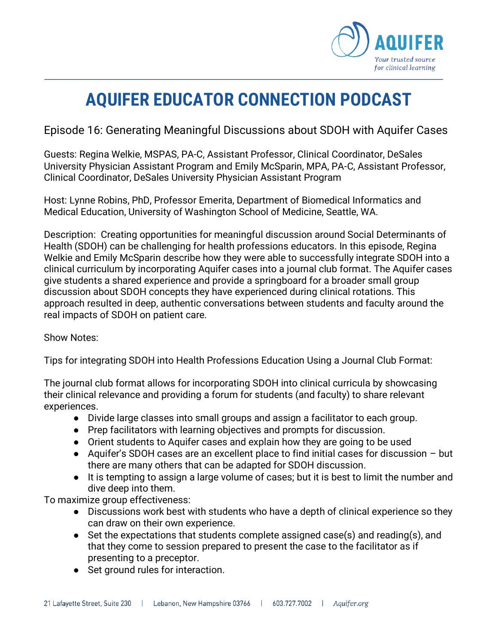

## **AQUIFER EDUCATOR CONNECTION PODCAST**

Episode 16: Generating Meaningful Discussions about SDOH with Aquifer Cases

Guests: Regina Welkie, MSPAS, PA-C, Assistant Professor, Clinical Coordinator, DeSales University Physician Assistant Program and Emily McSparin, MPA, PA-C, Assistant Professor, Clinical Coordinator, DeSales University Physician Assistant Program

Host: Lynne Robins, PhD, Professor Emerita, Department of Biomedical Informatics and Medical Education, University of Washington School of Medicine, Seattle, WA.

Description: Creating opportunities for meaningful discussion around Social Determinants of Health (SDOH) can be challenging for health professions educators. In this episode, Regina Welkie and Emily McSparin describe how they were able to successfully integrate SDOH into a clinical curriculum by incorporating Aquifer cases into a journal club format. The Aquifer cases give students a shared experience and provide a springboard for a broader small group discussion about SDOH concepts they have experienced during clinical rotations. This approach resulted in deep, authentic conversations between students and faculty around the real impacts of SDOH on patient care.

## Show Notes:

Tips for integrating SDOH into Health Professions Education Using a Journal Club Format:

The journal club format allows for incorporating SDOH into clinical curricula by showcasing their clinical relevance and providing a forum for students (and faculty) to share relevant experiences.

- Divide large classes into small groups and assign a facilitator to each group.
- Prep facilitators with learning objectives and prompts for discussion.
- Orient students to Aquifer cases and explain how they are going to be used
- Aquifer's SDOH cases are an excellent place to find initial cases for discussion but there are many others that can be adapted for SDOH discussion.
- It is tempting to assign a large volume of cases; but it is best to limit the number and dive deep into them.

To maximize group effectiveness:

- Discussions work best with students who have a depth of clinical experience so they can draw on their own experience.
- Set the expectations that students complete assigned case(s) and reading(s), and that they come to session prepared to present the case to the facilitator as if presenting to a preceptor.
- Set ground rules for interaction.